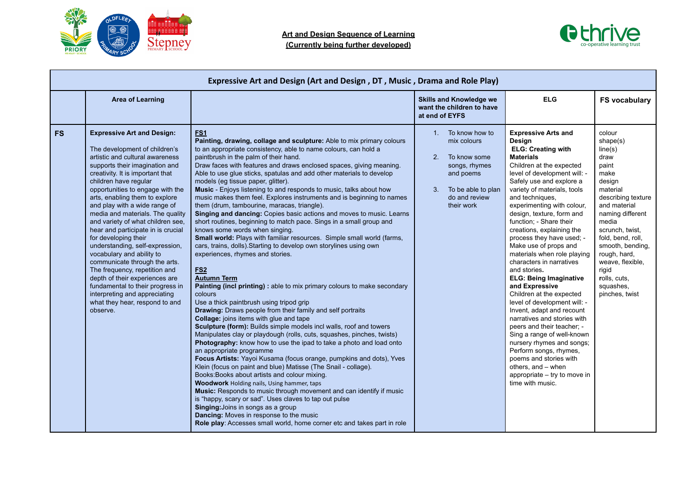



|           | Expressive Art and Design (Art and Design, DT, Music, Drama and Role Play)                                                                                                                                                                                                                                                                                                                                                                                                                                                                                                                                                                                                                                                                |                                                                                                                                                                                                                                                                                                                                                                                                                                                                                                                                                                                                                                                                                                                                                                                                                                                                                                                                                                                                                                                                                                                                                                                                                                                                                                                                                                                                                                                                                                                                                                                                                                                                                                                                                                                                                                                                                                                                                                                                                                               |                                                                                                                                                 |                                                                                                                                                                                                                                                                                                                                                                                                                                                                                                                                                                                                                                                                                                                                                                                                                                                                                       |                                                                                                                                                                                                                                                                                                         |
|-----------|-------------------------------------------------------------------------------------------------------------------------------------------------------------------------------------------------------------------------------------------------------------------------------------------------------------------------------------------------------------------------------------------------------------------------------------------------------------------------------------------------------------------------------------------------------------------------------------------------------------------------------------------------------------------------------------------------------------------------------------------|-----------------------------------------------------------------------------------------------------------------------------------------------------------------------------------------------------------------------------------------------------------------------------------------------------------------------------------------------------------------------------------------------------------------------------------------------------------------------------------------------------------------------------------------------------------------------------------------------------------------------------------------------------------------------------------------------------------------------------------------------------------------------------------------------------------------------------------------------------------------------------------------------------------------------------------------------------------------------------------------------------------------------------------------------------------------------------------------------------------------------------------------------------------------------------------------------------------------------------------------------------------------------------------------------------------------------------------------------------------------------------------------------------------------------------------------------------------------------------------------------------------------------------------------------------------------------------------------------------------------------------------------------------------------------------------------------------------------------------------------------------------------------------------------------------------------------------------------------------------------------------------------------------------------------------------------------------------------------------------------------------------------------------------------------|-------------------------------------------------------------------------------------------------------------------------------------------------|---------------------------------------------------------------------------------------------------------------------------------------------------------------------------------------------------------------------------------------------------------------------------------------------------------------------------------------------------------------------------------------------------------------------------------------------------------------------------------------------------------------------------------------------------------------------------------------------------------------------------------------------------------------------------------------------------------------------------------------------------------------------------------------------------------------------------------------------------------------------------------------|---------------------------------------------------------------------------------------------------------------------------------------------------------------------------------------------------------------------------------------------------------------------------------------------------------|
|           | <b>Area of Learning</b>                                                                                                                                                                                                                                                                                                                                                                                                                                                                                                                                                                                                                                                                                                                   |                                                                                                                                                                                                                                                                                                                                                                                                                                                                                                                                                                                                                                                                                                                                                                                                                                                                                                                                                                                                                                                                                                                                                                                                                                                                                                                                                                                                                                                                                                                                                                                                                                                                                                                                                                                                                                                                                                                                                                                                                                               | <b>Skills and Knowledge we</b><br>want the children to have<br>at end of EYFS                                                                   | <b>ELG</b>                                                                                                                                                                                                                                                                                                                                                                                                                                                                                                                                                                                                                                                                                                                                                                                                                                                                            | <b>FS vocabulary</b>                                                                                                                                                                                                                                                                                    |
| <b>FS</b> | <b>Expressive Art and Design:</b><br>The development of children's<br>artistic and cultural awareness<br>supports their imagination and<br>creativity. It is important that<br>children have regular<br>opportunities to engage with the<br>arts, enabling them to explore<br>and play with a wide range of<br>media and materials. The quality<br>and variety of what children see,<br>hear and participate in is crucial<br>for developing their<br>understanding, self-expression,<br>vocabulary and ability to<br>communicate through the arts.<br>The frequency, repetition and<br>depth of their experiences are<br>fundamental to their progress in<br>interpreting and appreciating<br>what they hear, respond to and<br>observe. | <b>ES1</b><br>Painting, drawing, collage and sculpture: Able to mix primary colours<br>to an appropriate consistency, able to name colours, can hold a<br>paintbrush in the palm of their hand.<br>Draw faces with features and draws enclosed spaces, giving meaning.<br>Able to use glue sticks, spatulas and add other materials to develop<br>models (eg tissue paper, glitter).<br>Music - Enjoys listening to and responds to music, talks about how<br>music makes them feel. Explores instruments and is beginning to names<br>them (drum, tambourine, maracas, triangle).<br>Singing and dancing: Copies basic actions and moves to music. Learns<br>short routines, beginning to match pace. Sings in a small group and<br>knows some words when singing.<br>Small world: Plays with familiar resources. Simple small world (farms,<br>cars, trains, dolls). Starting to develop own storylines using own<br>experiences, rhymes and stories.<br><b>FS2</b><br><b>Autumn Term</b><br>Painting (incl printing) : able to mix primary colours to make secondary<br>colours<br>Use a thick paintbrush using tripod grip<br>Drawing: Draws people from their family and self portraits<br>Collage: joins items with glue and tape<br>Sculpture (form): Builds simple models incl walls, roof and towers<br>Manipulates clay or playdough (rolls, cuts, squashes, pinches, twists)<br>Photography: know how to use the ipad to take a photo and load onto<br>an appropriate programme<br>Focus Artists: Yayoi Kusama (focus orange, pumpkins and dots), Yves<br>Klein (focus on paint and blue) Matisse (The Snail - collage).<br>Books: Books about artists and colour mixing.<br><b>Woodwork Holding nails, Using hammer, taps</b><br>Music: Responds to music through movement and can identify if music<br>is "happy, scary or sad". Uses claves to tap out pulse<br>Singing: Joins in songs as a group<br><b>Dancing:</b> Moves in response to the music<br>Role play: Accesses small world, home corner etc and takes part in role | 1. To know how to<br>mix colours<br>2.<br>To know some<br>songs, rhymes<br>and poems<br>To be able to plan<br>3.<br>do and review<br>their work | <b>Expressive Arts and</b><br>Design<br><b>ELG: Creating with</b><br><b>Materials</b><br>Children at the expected<br>level of development will: -<br>Safely use and explore a<br>variety of materials, tools<br>and techniques.<br>experimenting with colour,<br>design, texture, form and<br>function; - Share their<br>creations, explaining the<br>process they have used; -<br>Make use of props and<br>materials when role playing<br>characters in narratives<br>and stories.<br><b>ELG: Being Imaginative</b><br>and Expressive<br>Children at the expected<br>level of development will: -<br>Invent, adapt and recount<br>narratives and stories with<br>peers and their teacher; -<br>Sing a range of well-known<br>nursery rhymes and songs;<br>Perform songs, rhymes,<br>poems and stories with<br>others, and - when<br>appropriate – try to move in<br>time with music. | colour<br>shape(s)<br>line(s)<br>draw<br>paint<br>make<br>design<br>material<br>describing texture<br>and material<br>naming different<br>media<br>scrunch, twist,<br>fold, bend, roll,<br>smooth, bending,<br>rough, hard,<br>weave, flexible,<br>rigid<br>rolls, cuts,<br>squashes,<br>pinches, twist |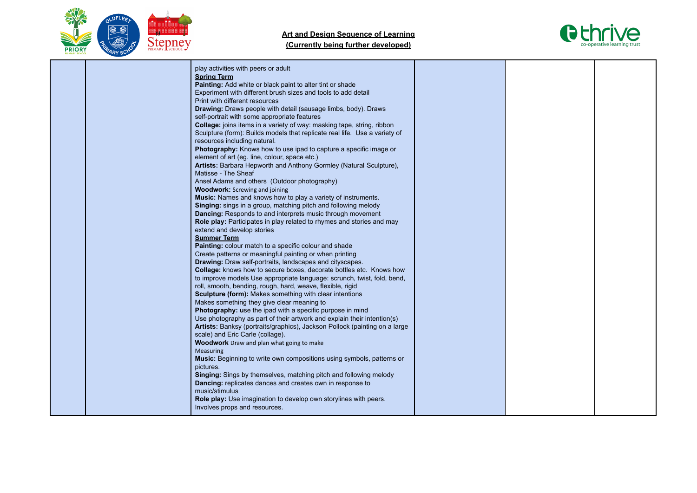



|  | play activities with peers or adult<br><b>Spring Term</b><br>Painting: Add white or black paint to alter tint or shade<br>Experiment with different brush sizes and tools to add detail<br>Print with different resources<br>Drawing: Draws people with detail (sausage limbs, body). Draws<br>self-portrait with some appropriate features<br>Collage: joins items in a variety of way: masking tape, string, ribbon<br>Sculpture (form): Builds models that replicate real life. Use a variety of<br>resources including natural.<br>Photography: Knows how to use ipad to capture a specific image or<br>element of art (eg. line, colour, space etc.)<br>Artists: Barbara Hepworth and Anthony Gormley (Natural Sculpture),<br>Matisse - The Sheaf<br>Ansel Adams and others (Outdoor photography)<br><b>Woodwork:</b> Screwing and joining<br>Music: Names and knows how to play a variety of instruments.<br>Singing: sings in a group, matching pitch and following melody<br>Dancing: Responds to and interprets music through movement<br>Role play: Participates in play related to rhymes and stories and may<br>extend and develop stories<br><b>Summer Term</b><br>Painting: colour match to a specific colour and shade<br>Create patterns or meaningful painting or when printing<br><b>Drawing:</b> Draw self-portraits, landscapes and cityscapes.<br><b>Collage:</b> knows how to secure boxes, decorate bottles etc. Knows how<br>to improve models Use appropriate language: scrunch, twist, fold, bend,<br>roll, smooth, bending, rough, hard, weave, flexible, rigid<br><b>Sculpture (form):</b> Makes something with clear intentions<br>Makes something they give clear meaning to<br><b>Photography:</b> use the ipad with a specific purpose in mind<br>Use photography as part of their artwork and explain their intention(s)<br>Artists: Banksy (portraits/graphics), Jackson Pollock (painting on a large<br>scale) and Eric Carle (collage).<br><b>Woodwork</b> Draw and plan what going to make<br>Measuring<br>Music: Beginning to write own compositions using symbols, patterns or<br>pictures.<br>Singing: Sings by themselves, matching pitch and following melody<br>Dancing: replicates dances and creates own in response to<br>music/stimulus<br>Role play: Use imagination to develop own storylines with peers. |  |  |
|--|------------------------------------------------------------------------------------------------------------------------------------------------------------------------------------------------------------------------------------------------------------------------------------------------------------------------------------------------------------------------------------------------------------------------------------------------------------------------------------------------------------------------------------------------------------------------------------------------------------------------------------------------------------------------------------------------------------------------------------------------------------------------------------------------------------------------------------------------------------------------------------------------------------------------------------------------------------------------------------------------------------------------------------------------------------------------------------------------------------------------------------------------------------------------------------------------------------------------------------------------------------------------------------------------------------------------------------------------------------------------------------------------------------------------------------------------------------------------------------------------------------------------------------------------------------------------------------------------------------------------------------------------------------------------------------------------------------------------------------------------------------------------------------------------------------------------------------------------------------------------------------------------------------------------------------------------------------------------------------------------------------------------------------------------------------------------------------------------------------------------------------------------------------------------------------------------------------------------------------------------------------------------------------------------------------------------------------------------------------|--|--|
|  | Involves props and resources.                                                                                                                                                                                                                                                                                                                                                                                                                                                                                                                                                                                                                                                                                                                                                                                                                                                                                                                                                                                                                                                                                                                                                                                                                                                                                                                                                                                                                                                                                                                                                                                                                                                                                                                                                                                                                                                                                                                                                                                                                                                                                                                                                                                                                                                                                                                              |  |  |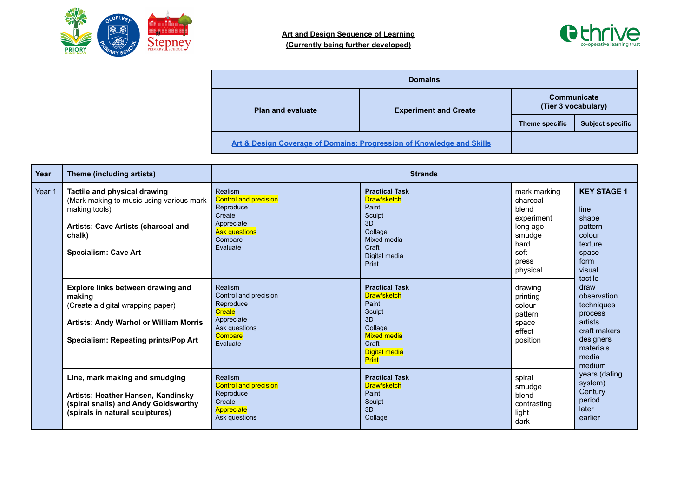



| <b>Domains</b>           |                                                                       |                                    |                         |  |  |
|--------------------------|-----------------------------------------------------------------------|------------------------------------|-------------------------|--|--|
| <b>Plan and evaluate</b> | <b>Experiment and Create</b>                                          | Communicate<br>(Tier 3 vocabulary) |                         |  |  |
|                          |                                                                       | Theme specific                     | <b>Subject specific</b> |  |  |
|                          | Art & Design Coverage of Domains: Progression of Knowledge and Skills |                                    |                         |  |  |

| Year   | Theme (including artists)                                                                                                                                                 | <b>Strands</b>                                                                                                              |                                                                                                                                   |                                                                                                            |                                                                                                                                 |
|--------|---------------------------------------------------------------------------------------------------------------------------------------------------------------------------|-----------------------------------------------------------------------------------------------------------------------------|-----------------------------------------------------------------------------------------------------------------------------------|------------------------------------------------------------------------------------------------------------|---------------------------------------------------------------------------------------------------------------------------------|
| Year 1 | Tactile and physical drawing<br>(Mark making to music using various mark<br>making tools)<br>Artists: Cave Artists (charcoal and<br>chalk)<br><b>Specialism: Cave Art</b> | Realism<br><b>Control and precision</b><br>Reproduce<br>Create<br>Appreciate<br><b>Ask questions</b><br>Compare<br>Evaluate | <b>Practical Task</b><br>Draw/sketch<br>Paint<br>Sculpt<br>3D<br>Collage<br>Mixed media<br>Craft<br>Digital media<br>Print        | mark marking<br>charcoal<br>blend<br>experiment<br>long ago<br>smudge<br>hard<br>soft<br>press<br>physical | <b>KEY STAGE 1</b><br>line<br>shape<br>pattern<br>colour<br>texture<br>space<br>form<br>visual                                  |
|        | Explore links between drawing and<br>making<br>(Create a digital wrapping paper)<br><b>Artists: Andy Warhol or William Morris</b><br>Specialism: Repeating prints/Pop Art | Realism<br>Control and precision<br>Reproduce<br>Create<br>Appreciate<br>Ask questions<br>Compare<br>Evaluate               | <b>Practical Task</b><br>Draw/sketch<br>Paint<br>Sculpt<br>3D<br>Collage<br><b>Mixed media</b><br>Craft<br>Digital media<br>Print | drawing<br>printing<br>colour<br>pattern<br>space<br>effect<br>position                                    | tactile<br>draw<br>observation<br>techniques<br>process<br>artists<br>craft makers<br>designers<br>materials<br>media<br>medium |
|        | Line, mark making and smudging<br>Artists: Heather Hansen, Kandinsky<br>(spiral snails) and Andy Goldsworthy<br>(spirals in natural sculptures)                           | Realism<br>Control and precision<br>Reproduce<br>Create<br>Appreciate<br>Ask questions                                      | <b>Practical Task</b><br>Draw/sketch<br>Paint<br>Sculpt<br>3D<br>Collage                                                          | spiral<br>smudge<br>blend<br>contrasting<br>light<br>dark                                                  | years (dating<br>system)<br>Century<br>period<br>later<br>earlier                                                               |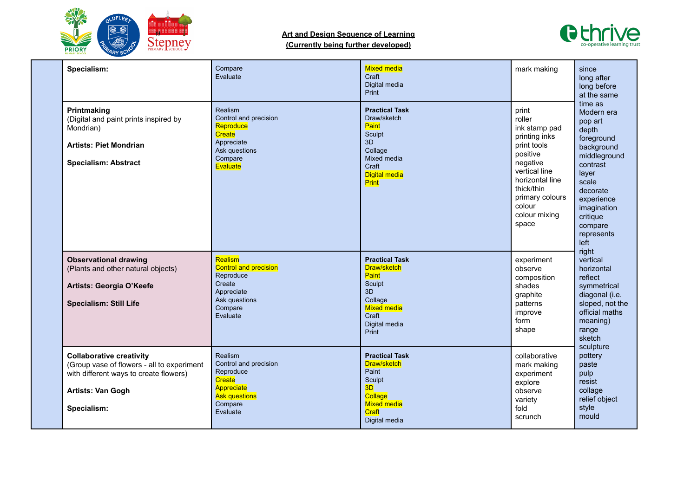



| Specialism:                                                                                                                                                 | Compare<br>Evaluate                                                                                                  | <b>Mixed media</b><br>Craft<br>Digital media<br>Print                                                                                    | mark making                                                                                                                                                                                       | since<br>long after<br>long before<br>at the same                                                                                                                                                                  |
|-------------------------------------------------------------------------------------------------------------------------------------------------------------|----------------------------------------------------------------------------------------------------------------------|------------------------------------------------------------------------------------------------------------------------------------------|---------------------------------------------------------------------------------------------------------------------------------------------------------------------------------------------------|--------------------------------------------------------------------------------------------------------------------------------------------------------------------------------------------------------------------|
| Printmaking<br>(Digital and paint prints inspired by<br>Mondrian)<br><b>Artists: Piet Mondrian</b><br><b>Specialism: Abstract</b>                           | Realism<br>Control and precision<br>Reproduce<br>Create<br>Appreciate<br>Ask questions<br>Compare<br>Evaluate        | <b>Practical Task</b><br>Draw/sketch<br><b>Paint</b><br>Sculpt<br>3D<br>Collage<br>Mixed media<br>Craft<br><b>Digital media</b><br>Print | print<br>roller<br>ink stamp pad<br>printing inks<br>print tools<br>positive<br>negative<br>vertical line<br>horizontal line<br>thick/thin<br>primary colours<br>colour<br>colour mixing<br>space | time as<br>Modern era<br>pop art<br>depth<br>foreground<br>background<br>middleground<br>contrast<br>layer<br>scale<br>decorate<br>experience<br>imagination<br>critique<br>compare<br>represents<br>left<br>right |
| <b>Observational drawing</b><br>(Plants and other natural objects)<br>Artists: Georgia O'Keefe<br><b>Specialism: Still Life</b>                             | Realism<br><b>Control and precision</b><br>Reproduce<br>Create<br>Appreciate<br>Ask questions<br>Compare<br>Evaluate | <b>Practical Task</b><br>Draw/sketch<br>Paint<br><b>Sculpt</b><br>3D<br>Collage<br><b>Mixed media</b><br>Craft<br>Digital media<br>Print | experiment<br>observe<br>composition<br>shades<br>graphite<br>patterns<br>improve<br>form<br>shape                                                                                                | vertical<br>horizontal<br>reflect<br>symmetrical<br>diagonal (i.e.<br>sloped, not the<br>official maths<br>meaning)<br>range<br>sketch<br>sculpture                                                                |
| <b>Collaborative creativity</b><br>(Group vase of flowers - all to experiment<br>with different ways to create flowers)<br>Artists: Van Gogh<br>Specialism: | Realism<br>Control and precision<br>Reproduce<br>Create<br>Appreciate<br><b>Ask questions</b><br>Compare<br>Evaluate | <b>Practical Task</b><br>Draw/sketch<br>Paint<br>Sculpt<br>3D<br>Collage<br><b>Mixed media</b><br>Craft<br>Digital media                 | collaborative<br>mark making<br>experiment<br>explore<br>observe<br>variety<br>fold<br>scrunch                                                                                                    | pottery<br>paste<br>pulp<br>resist<br>collage<br>relief object<br>style<br>mould                                                                                                                                   |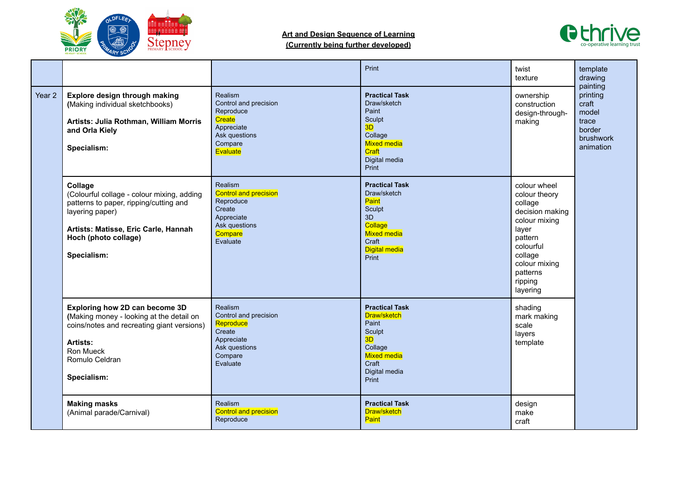

# **Art and Design Sequence of Learning**



**(Currently being further developed)**

|        |                                                                                                                                                                                                   |                                                                                                                      | Print                                                                                                                                    | twist<br>texture                                                                                                                                                             | template<br>drawing<br>painting                                         |
|--------|---------------------------------------------------------------------------------------------------------------------------------------------------------------------------------------------------|----------------------------------------------------------------------------------------------------------------------|------------------------------------------------------------------------------------------------------------------------------------------|------------------------------------------------------------------------------------------------------------------------------------------------------------------------------|-------------------------------------------------------------------------|
| Year 2 | Explore design through making<br>(Making individual sketchbooks)<br>Artists: Julia Rothman, William Morris<br>and Orla Kiely<br>Specialism:                                                       | Realism<br>Control and precision<br>Reproduce<br>Create<br>Appreciate<br>Ask questions<br>Compare<br>Evaluate        | <b>Practical Task</b><br>Draw/sketch<br>Paint<br>Sculpt<br>3D<br>Collage<br><b>Mixed media</b><br>Craft<br>Digital media<br>Print        | ownership<br>construction<br>design-through-<br>making                                                                                                                       | printing<br>craft<br>model<br>trace<br>border<br>brushwork<br>animation |
|        | Collage<br>(Colourful collage - colour mixing, adding<br>patterns to paper, ripping/cutting and<br>layering paper)<br>Artists: Matisse, Eric Carle, Hannah<br>Hoch (photo collage)<br>Specialism: | Realism<br><b>Control and precision</b><br>Reproduce<br>Create<br>Appreciate<br>Ask questions<br>Compare<br>Evaluate | <b>Practical Task</b><br>Draw/sketch<br>Paint<br>Sculpt<br>3D<br>Collage<br><b>Mixed media</b><br>Craft<br><b>Digital media</b><br>Print | colour wheel<br>colour theory<br>collage<br>decision making<br>colour mixing<br>layer<br>pattern<br>colourful<br>collage<br>colour mixing<br>patterns<br>ripping<br>layering |                                                                         |
|        | Exploring how 2D can become 3D<br>(Making money - looking at the detail on<br>coins/notes and recreating giant versions)<br>Artists:<br>Ron Mueck<br>Romulo Celdran<br>Specialism:                | Realism<br>Control and precision<br>Reproduce<br>Create<br>Appreciate<br>Ask questions<br>Compare<br>Evaluate        | <b>Practical Task</b><br>Draw/sketch<br>Paint<br>Sculpt<br>3D<br>Collage<br><b>Mixed media</b><br>Craft<br>Digital media<br>Print        | shading<br>mark making<br>scale<br>layers<br>template                                                                                                                        |                                                                         |
|        | <b>Making masks</b><br>(Animal parade/Carnival)                                                                                                                                                   | Realism<br><b>Control and precision</b><br>Reproduce                                                                 | <b>Practical Task</b><br>Draw/sketch<br>Paint                                                                                            | design<br>make<br>craft                                                                                                                                                      |                                                                         |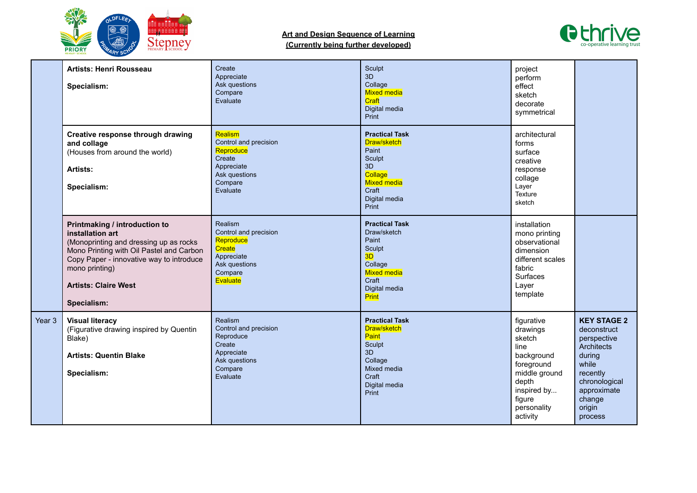



|        | <b>Artists: Henri Rousseau</b><br>Specialism:                                                                                                                                                                                                       | Create<br>Appreciate<br>Ask questions<br>Compare<br>Evaluate                                                  | Sculpt<br>3D<br>Collage<br><b>Mixed media</b><br>Craft<br>Digital media<br>Print                                                  | project<br>perform<br>effect<br>sketch<br>decorate<br>symmetrical                                                                                  |                                                                                                                                                              |
|--------|-----------------------------------------------------------------------------------------------------------------------------------------------------------------------------------------------------------------------------------------------------|---------------------------------------------------------------------------------------------------------------|-----------------------------------------------------------------------------------------------------------------------------------|----------------------------------------------------------------------------------------------------------------------------------------------------|--------------------------------------------------------------------------------------------------------------------------------------------------------------|
|        | Creative response through drawing<br>and collage<br>(Houses from around the world)<br>Artists:<br>Specialism:                                                                                                                                       | Realism<br>Control and precision<br>Reproduce<br>Create<br>Appreciate<br>Ask questions<br>Compare<br>Evaluate | <b>Practical Task</b><br>Draw/sketch<br>Paint<br>Sculpt<br>3D<br>Collage<br><b>Mixed media</b><br>Craft<br>Digital media<br>Print | architectural<br>forms<br>surface<br>creative<br>response<br>collage<br>Layer<br>Texture<br>sketch                                                 |                                                                                                                                                              |
|        | Printmaking / introduction to<br>installation art<br>(Monoprinting and dressing up as rocks<br>Mono Printing with Oil Pastel and Carbon<br>Copy Paper - innovative way to introduce<br>mono printing)<br><b>Artists: Claire West</b><br>Specialism: | Realism<br>Control and precision<br>Reproduce<br>Create<br>Appreciate<br>Ask questions<br>Compare<br>Evaluate | <b>Practical Task</b><br>Draw/sketch<br>Paint<br>Sculpt<br>3D<br>Collage<br>Mixed media<br>Craft<br>Digital media<br>Print        | installation<br>mono printing<br>observational<br>dimension<br>different scales<br>fabric<br>Surfaces<br>Layer<br>template                         |                                                                                                                                                              |
| Year 3 | <b>Visual literacy</b><br>(Figurative drawing inspired by Quentin<br>Blake)<br><b>Artists: Quentin Blake</b><br>Specialism:                                                                                                                         | Realism<br>Control and precision<br>Reproduce<br>Create<br>Appreciate<br>Ask questions<br>Compare<br>Evaluate | <b>Practical Task</b><br>Draw/sketch<br><b>Paint</b><br>Sculpt<br>3D<br>Collage<br>Mixed media<br>Craft<br>Digital media<br>Print | figurative<br>drawings<br>sketch<br>line<br>background<br>foreground<br>middle ground<br>depth<br>inspired by<br>figure<br>personality<br>activity | <b>KEY STAGE 2</b><br>deconstruct<br>perspective<br>Architects<br>during<br>while<br>recently<br>chronological<br>approximate<br>change<br>origin<br>process |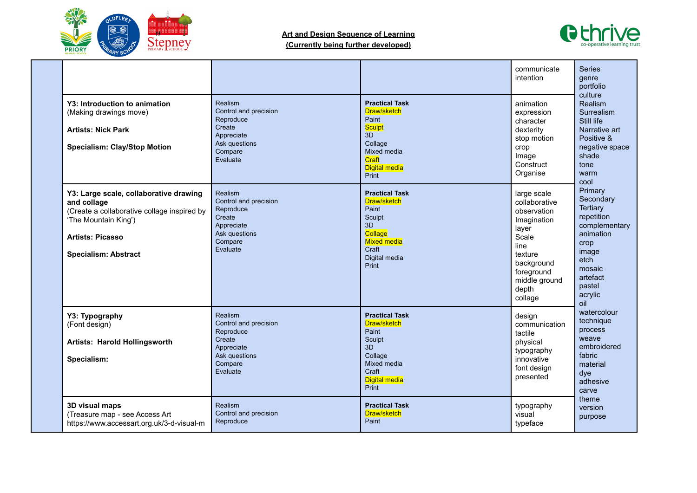



| Y3: Introduction to animation<br>(Making drawings move)<br><b>Artists: Nick Park</b><br><b>Specialism: Clay/Stop Motion</b>                                                            | Realism<br>Control and precision<br>Reproduce<br>Create<br>Appreciate<br>Ask questions<br>Compare<br>Evaluate | <b>Practical Task</b><br>Draw/sketch<br>Paint<br><b>Sculpt</b><br>3D<br>Collage<br>Mixed media<br>Craft<br><b>Digital media</b><br>Print | communicate<br>intention<br>animation<br>expression<br>character<br>dexterity<br>stop motion<br>crop<br>Image<br>Construct<br>Organise                           | <b>Series</b><br>genre<br>portfolio<br>culture<br>Realism<br>Surrealism<br>Still life<br>Narrative art<br>Positive &<br>negative space<br>shade<br>tone<br>warm        |
|----------------------------------------------------------------------------------------------------------------------------------------------------------------------------------------|---------------------------------------------------------------------------------------------------------------|------------------------------------------------------------------------------------------------------------------------------------------|------------------------------------------------------------------------------------------------------------------------------------------------------------------|------------------------------------------------------------------------------------------------------------------------------------------------------------------------|
| Y3: Large scale, collaborative drawing<br>and collage<br>(Create a collaborative collage inspired by<br>'The Mountain King')<br><b>Artists: Picasso</b><br><b>Specialism: Abstract</b> | Realism<br>Control and precision<br>Reproduce<br>Create<br>Appreciate<br>Ask questions<br>Compare<br>Evaluate | <b>Practical Task</b><br>Draw/sketch<br>Paint<br>Sculpt<br>3D<br>Collage<br><b>Mixed media</b><br>Craft<br>Digital media<br><b>Print</b> | large scale<br>collaborative<br>observation<br>Imagination<br>layer<br>Scale<br>line<br>texture<br>background<br>foreground<br>middle ground<br>depth<br>collage | cool<br>Primary<br>Secondary<br><b>Tertiary</b><br>repetition<br>complementary<br>animation<br>crop<br>image<br>etch<br>mosaic<br>artefact<br>pastel<br>acrylic<br>oil |
| Y3: Typography<br>(Font design)<br>Artists: Harold Hollingsworth<br>Specialism:                                                                                                        | Realism<br>Control and precision<br>Reproduce<br>Create<br>Appreciate<br>Ask questions<br>Compare<br>Evaluate | <b>Practical Task</b><br>Draw/sketch<br>Paint<br>Sculpt<br>3D<br>Collage<br>Mixed media<br>Craft<br><b>Digital media</b><br>Print        | design<br>communication<br>tactile<br>physical<br>typography<br>innovative<br>font design<br>presented                                                           | watercolour<br>technique<br>process<br>weave<br>embroidered<br>fabric<br>material<br>dye<br>adhesive<br>carve                                                          |
| 3D visual maps<br>(Treasure map - see Access Art<br>https://www.accessart.org.uk/3-d-visual-m                                                                                          | Realism<br>Control and precision<br>Reproduce                                                                 | <b>Practical Task</b><br>Draw/sketch<br>Paint                                                                                            | typography<br>visual<br>typeface                                                                                                                                 | theme<br>version<br>purpose                                                                                                                                            |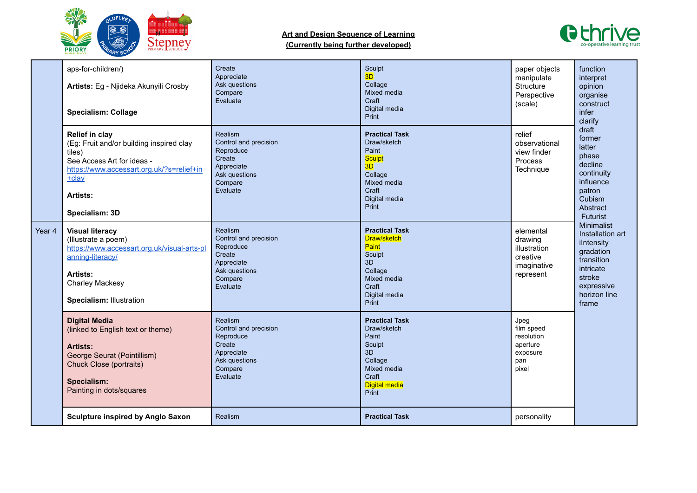



|        | aps-for-children/)<br>Artists: Eg - Njideka Akunyili Crosby<br><b>Specialism: Collage</b><br><b>Relief in clay</b><br>(Eg: Fruit and/or building inspired clay                            | Create<br>Appreciate<br>Ask questions<br>Compare<br>Evaluate<br>Realism<br>Control and precision<br>Reproduce        | Sculpt<br>3D<br>Collage<br>Mixed media<br>Craft<br>Digital media<br>Print<br><b>Practical Task</b><br>Draw/sketch<br>Paint        | paper objects<br>manipulate<br>Structure<br>Perspective<br>(scale)<br>relief<br>observational | function<br>interpret<br>opinion<br>organise<br>construct<br>infer<br>clarify<br>draft<br>former<br>latter                            |
|--------|-------------------------------------------------------------------------------------------------------------------------------------------------------------------------------------------|----------------------------------------------------------------------------------------------------------------------|-----------------------------------------------------------------------------------------------------------------------------------|-----------------------------------------------------------------------------------------------|---------------------------------------------------------------------------------------------------------------------------------------|
|        | tiles)<br>See Access Art for ideas -<br>https://www.accessart.org.uk/?s=relief+in<br>$+$ clay<br>Artists:<br>Specialism: 3D                                                               | Create<br>Appreciate<br>Ask questions<br>Compare<br>Evaluate                                                         | <b>Sculpt</b><br>3D<br>Collage<br>Mixed media<br>Craft<br>Digital media<br>Print                                                  | view finder<br>Process<br>Technique                                                           | phase<br>decline<br>continuity<br>influence<br>patron<br>Cubism<br>Abstract<br>Futurist                                               |
| Year 4 | <b>Visual literacy</b><br>(Illustrate a poem)<br>https://www.accessart.org.uk/visual-arts-pl<br>anning-literacy/<br>Artists:<br><b>Charley Mackesy</b><br><b>Specialism: Illustration</b> | Realism<br>Control and precision<br>Reproduce<br>Create<br>Appreciate<br>Ask questions<br>Compare<br>Evaluate        | <b>Practical Task</b><br>Draw/sketch<br>Paint<br>Sculpt<br>3D<br>Collage<br>Mixed media<br>Craft<br>Digital media<br>Print        | elemental<br>drawing<br>illustration<br>creative<br>imaginative<br>represent                  | Minimalist<br>Installation art<br>ilntensity<br>gradation<br>transition<br>intricate<br>stroke<br>expressive<br>horizon line<br>frame |
|        | <b>Digital Media</b><br>(linked to English text or theme)<br>Artists:<br>George Seurat (Pointillism)<br>Chuck Close (portraits)<br>Specialism:<br>Painting in dots/squares                | <b>Realism</b><br>Control and precision<br>Reproduce<br>Create<br>Appreciate<br>Ask questions<br>Compare<br>Evaluate | <b>Practical Task</b><br>Draw/sketch<br>Paint<br>Sculpt<br>3D<br>Collage<br>Mixed media<br>Craft<br><b>Digital media</b><br>Print | Jpeg<br>film speed<br>resolution<br>aperture<br>exposure<br>pan<br>pixel                      |                                                                                                                                       |
|        | <b>Sculpture inspired by Anglo Saxon</b>                                                                                                                                                  | Realism                                                                                                              | <b>Practical Task</b>                                                                                                             | personality                                                                                   |                                                                                                                                       |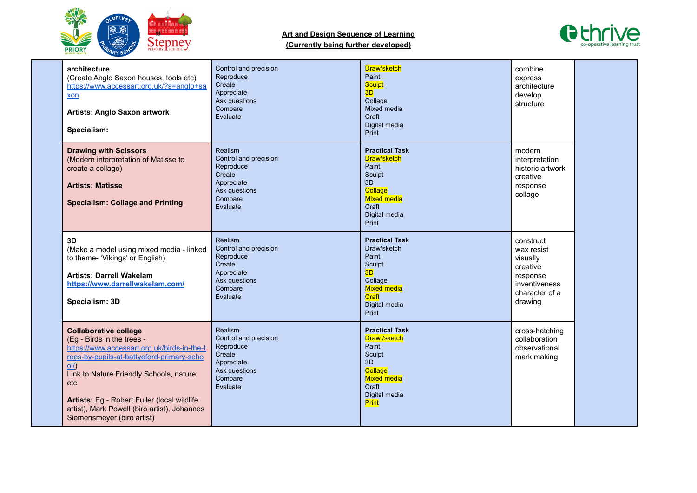



| architecture<br>(Create Anglo Saxon houses, tools etc)<br>https://www.accessart.org.uk/?s=anglo+sa<br>xon<br><b>Artists: Anglo Saxon artwork</b><br>Specialism:                                                                                                                                                                                 | Control and precision<br>Reproduce<br>Create<br>Appreciate<br>Ask questions<br>Compare<br>Evaluate            | Draw/sketch<br>Paint<br><b>Sculpt</b><br>3D<br>Collage<br>Mixed media<br>Craft<br>Digital media<br>Print                                  | combine<br>express<br>architecture<br>develop<br>structure                                                |  |
|-------------------------------------------------------------------------------------------------------------------------------------------------------------------------------------------------------------------------------------------------------------------------------------------------------------------------------------------------|---------------------------------------------------------------------------------------------------------------|-------------------------------------------------------------------------------------------------------------------------------------------|-----------------------------------------------------------------------------------------------------------|--|
| <b>Drawing with Scissors</b><br>(Modern interpretation of Matisse to<br>create a collage)<br><b>Artists: Matisse</b><br><b>Specialism: Collage and Printing</b>                                                                                                                                                                                 | Realism<br>Control and precision<br>Reproduce<br>Create<br>Appreciate<br>Ask questions<br>Compare<br>Evaluate | <b>Practical Task</b><br>Draw/sketch<br>Paint<br>Sculpt<br>3D<br>Collage<br><b>Mixed media</b><br>Craft<br>Digital media<br>Print         | modern<br>interpretation<br>historic artwork<br>creative<br>response<br>collage                           |  |
| 3D<br>(Make a model using mixed media - linked<br>to theme- 'Vikings' or English)<br><b>Artists: Darrell Wakelam</b><br>https://www.darrellwakelam.com/<br>Specialism: 3D                                                                                                                                                                       | Realism<br>Control and precision<br>Reproduce<br>Create<br>Appreciate<br>Ask questions<br>Compare<br>Evaluate | <b>Practical Task</b><br>Draw/sketch<br>Paint<br>Sculpt<br>3D<br>Collage<br><b>Mixed media</b><br>Craft<br>Digital media<br>Print         | construct<br>wax resist<br>visually<br>creative<br>response<br>inventiveness<br>character of a<br>drawing |  |
| <b>Collaborative collage</b><br>(Eg - Birds in the trees -<br>https://www.accessart.org.uk/birds-in-the-t<br>rees-by-pupils-at-battyeford-primary-scho<br>$ol/)$<br>Link to Nature Friendly Schools, nature<br>etc<br>Artists: Eg - Robert Fuller (local wildlife<br>artist), Mark Powell (biro artist), Johannes<br>Siemensmeyer (biro artist) | Realism<br>Control and precision<br>Reproduce<br>Create<br>Appreciate<br>Ask questions<br>Compare<br>Evaluate | <b>Practical Task</b><br><b>Draw /sketch</b><br>Paint<br>Sculpt<br>3D<br>Collage<br><b>Mixed media</b><br>Craft<br>Digital media<br>Print | cross-hatching<br>collaboration<br>observational<br>mark making                                           |  |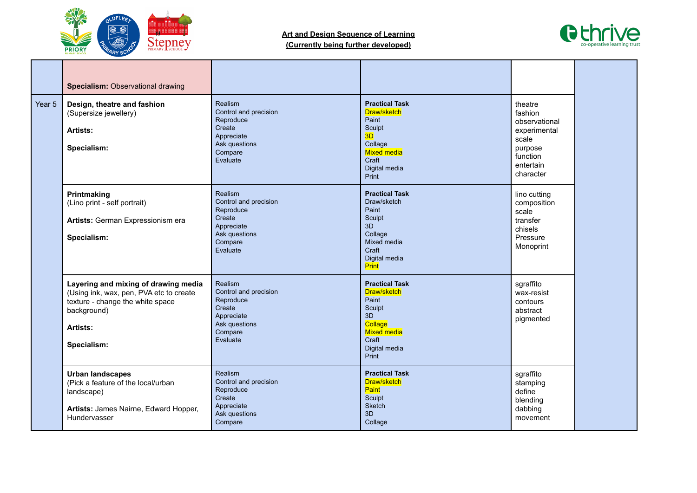



|        | <b>Specialism: Observational drawing</b>                                                                                                                      |                                                                                                               |                                                                                                                                   |                                                                                                               |  |
|--------|---------------------------------------------------------------------------------------------------------------------------------------------------------------|---------------------------------------------------------------------------------------------------------------|-----------------------------------------------------------------------------------------------------------------------------------|---------------------------------------------------------------------------------------------------------------|--|
| Year 5 | Design, theatre and fashion<br>(Supersize jewellery)<br>Artists:<br>Specialism:                                                                               | Realism<br>Control and precision<br>Reproduce<br>Create<br>Appreciate<br>Ask questions<br>Compare<br>Evaluate | <b>Practical Task</b><br>Draw/sketch<br>Paint<br>Sculpt<br>3D<br>Collage<br><b>Mixed media</b><br>Craft<br>Digital media<br>Print | theatre<br>fashion<br>observational<br>experimental<br>scale<br>purpose<br>function<br>entertain<br>character |  |
|        | Printmaking<br>(Lino print - self portrait)<br>Artists: German Expressionism era<br>Specialism:                                                               | Realism<br>Control and precision<br>Reproduce<br>Create<br>Appreciate<br>Ask questions<br>Compare<br>Evaluate | <b>Practical Task</b><br>Draw/sketch<br>Paint<br>Sculpt<br>3D<br>Collage<br>Mixed media<br>Craft<br>Digital media<br>Print        | lino cutting<br>composition<br>scale<br>transfer<br>chisels<br>Pressure<br>Monoprint                          |  |
|        | Layering and mixing of drawing media<br>(Using ink, wax, pen, PVA etc to create<br>texture - change the white space<br>background)<br>Artists:<br>Specialism: | Realism<br>Control and precision<br>Reproduce<br>Create<br>Appreciate<br>Ask questions<br>Compare<br>Evaluate | <b>Practical Task</b><br>Draw/sketch<br>Paint<br>Sculpt<br>3D<br>Collage<br><b>Mixed media</b><br>Craft<br>Digital media<br>Print | sgraffito<br>wax-resist<br>contours<br>abstract<br>pigmented                                                  |  |
|        | <b>Urban landscapes</b><br>(Pick a feature of the local/urban<br>landscape)<br>Artists: James Nairne, Edward Hopper,<br>Hundervasser                          | Realism<br>Control and precision<br>Reproduce<br>Create<br>Appreciate<br>Ask questions<br>Compare             | <b>Practical Task</b><br>Draw/sketch<br>Paint<br>Sculpt<br><b>Sketch</b><br>3D<br>Collage                                         | sgraffito<br>stamping<br>define<br>blending<br>dabbing<br>movement                                            |  |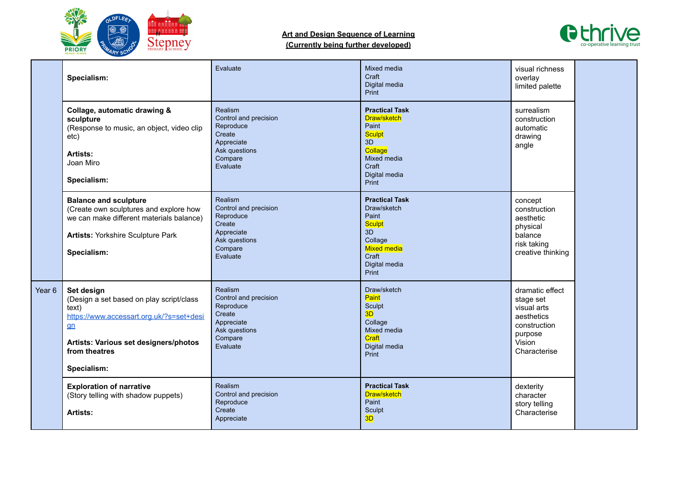



|                   | Specialism:                                                                                                                                                                                   | Evaluate                                                                                                      | Mixed media<br>Craft<br>Digital media<br>Print                                                                                           | visual richness<br>overlay<br>limited palette                                                                  |  |
|-------------------|-----------------------------------------------------------------------------------------------------------------------------------------------------------------------------------------------|---------------------------------------------------------------------------------------------------------------|------------------------------------------------------------------------------------------------------------------------------------------|----------------------------------------------------------------------------------------------------------------|--|
|                   | Collage, automatic drawing &<br>sculpture<br>(Response to music, an object, video clip<br>etc)<br>Artists:<br>Joan Miro<br>Specialism:                                                        | Realism<br>Control and precision<br>Reproduce<br>Create<br>Appreciate<br>Ask questions<br>Compare<br>Evaluate | <b>Practical Task</b><br>Draw/sketch<br>Paint<br><b>Sculpt</b><br>3D<br>Collage<br>Mixed media<br>Craft<br>Digital media<br>Print        | surrealism<br>construction<br>automatic<br>drawing<br>angle                                                    |  |
|                   | <b>Balance and sculpture</b><br>(Create own sculptures and explore how<br>we can make different materials balance)<br><b>Artists: Yorkshire Sculpture Park</b><br>Specialism:                 | Realism<br>Control and precision<br>Reproduce<br>Create<br>Appreciate<br>Ask questions<br>Compare<br>Evaluate | <b>Practical Task</b><br>Draw/sketch<br>Paint<br><b>Sculpt</b><br>3D<br>Collage<br><b>Mixed media</b><br>Craft<br>Digital media<br>Print | concept<br>construction<br>aesthetic<br>physical<br>balance<br>risk taking<br>creative thinking                |  |
| Year <sub>6</sub> | Set design<br>(Design a set based on play script/class<br>text)<br>https://www.accessart.org.uk/?s=set+desi<br>$g_n$<br>Artists: Various set designers/photos<br>from theatres<br>Specialism: | Realism<br>Control and precision<br>Reproduce<br>Create<br>Appreciate<br>Ask questions<br>Compare<br>Evaluate | Draw/sketch<br>Paint<br>Sculpt<br>3D<br>Collage<br>Mixed media<br>Craft<br>Digital media<br>Print                                        | dramatic effect<br>stage set<br>visual arts<br>aesthetics<br>construction<br>purpose<br>Vision<br>Characterise |  |
|                   | <b>Exploration of narrative</b><br>(Story telling with shadow puppets)<br>Artists:                                                                                                            | <b>Realism</b><br>Control and precision<br>Reproduce<br>Create<br>Appreciate                                  | <b>Practical Task</b><br>Draw/sketch<br>Paint<br>Sculpt<br>3D                                                                            | dexterity<br>character<br>story telling<br>Characterise                                                        |  |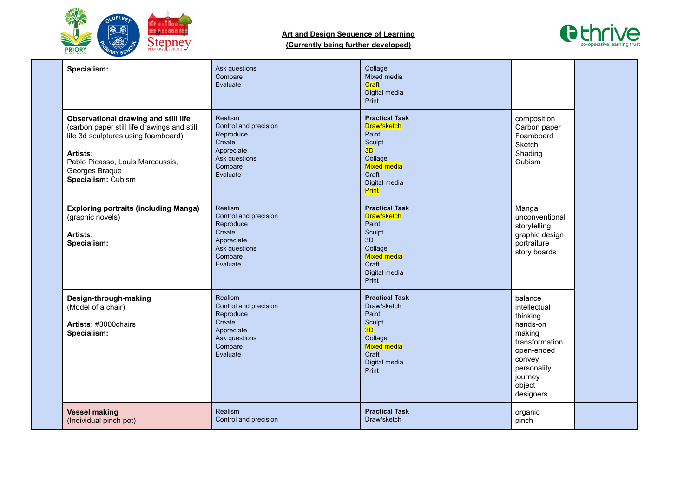

## **Art and Design Sequence of Learning**



| (Currently being further developed) |  |  |
|-------------------------------------|--|--|
|                                     |  |  |

| Specialism:                                                                                                                                                                                                        | Ask questions<br>Compare<br>Evaluate                                                                                 | Collage<br>Mixed media<br>Craft<br>Digital media<br>Print                                                                         |                                                                                                                                                      |  |
|--------------------------------------------------------------------------------------------------------------------------------------------------------------------------------------------------------------------|----------------------------------------------------------------------------------------------------------------------|-----------------------------------------------------------------------------------------------------------------------------------|------------------------------------------------------------------------------------------------------------------------------------------------------|--|
| Observational drawing and still life<br>(carbon paper still life drawings and still<br>life 3d sculptures using foamboard)<br>Artists:<br>Pablo Picasso, Louis Marcoussis,<br>Georges Braque<br>Specialism: Cubism | Realism<br>Control and precision<br>Reproduce<br>Create<br>Appreciate<br>Ask questions<br>Compare<br>Evaluate        | <b>Practical Task</b><br>Draw/sketch<br>Paint<br>Sculpt<br>3D<br>Collage<br>Mixed media<br>Craft<br>Digital media<br>Print        | composition<br>Carbon paper<br>Foamboard<br>Sketch<br>Shading<br>Cubism                                                                              |  |
| <b>Exploring portraits (including Manga)</b><br>(graphic novels)<br>Artists:<br>Specialism:                                                                                                                        | <b>Realism</b><br>Control and precision<br>Reproduce<br>Create<br>Appreciate<br>Ask questions<br>Compare<br>Evaluate | <b>Practical Task</b><br>Draw/sketch<br>Paint<br>Sculpt<br>3D<br>Collage<br><b>Mixed media</b><br>Craft<br>Digital media<br>Print | Manga<br>unconventional<br>storytelling<br>graphic design<br>portraiture<br>story boards                                                             |  |
| Design-through-making<br>(Model of a chair)<br>Artists: #3000chairs<br>Specialism:                                                                                                                                 | Realism<br>Control and precision<br>Reproduce<br>Create<br>Appreciate<br>Ask questions<br>Compare<br>Evaluate        | <b>Practical Task</b><br>Draw/sketch<br>Paint<br>Sculpt<br>3D<br>Collage<br><b>Mixed media</b><br>Craft<br>Digital media<br>Print | balance<br>intellectual<br>thinking<br>hands-on<br>making<br>transformation<br>open-ended<br>convey<br>personality<br>journey<br>object<br>designers |  |
| <b>Vessel making</b><br>(Individual pinch pot)                                                                                                                                                                     | Realism<br>Control and precision                                                                                     | <b>Practical Task</b><br>Draw/sketch                                                                                              | organic<br>pinch                                                                                                                                     |  |